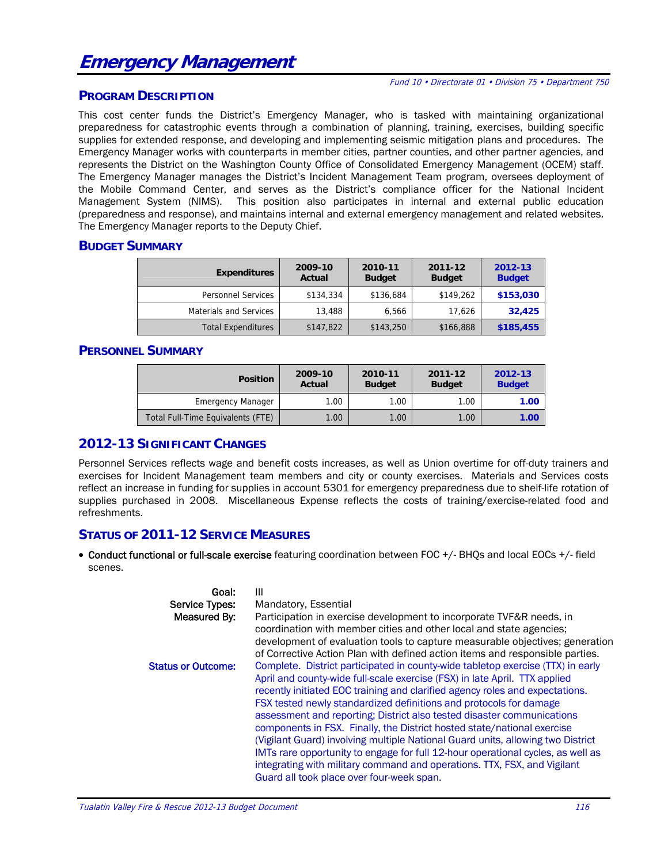# **Emergency Management**

#### Fund 10 • Directorate 01 • Division 75 • Department 750

#### **PROGRAM DESCRIPTION**

This cost center funds the District's Emergency Manager, who is tasked with maintaining organizational preparedness for catastrophic events through a combination of planning, training, exercises, building specific supplies for extended response, and developing and implementing seismic mitigation plans and procedures. The Emergency Manager works with counterparts in member cities, partner counties, and other partner agencies, and represents the District on the Washington County Office of Consolidated Emergency Management (OCEM) staff. The Emergency Manager manages the District's Incident Management Team program, oversees deployment of the Mobile Command Center, and serves as the District's compliance officer for the National Incident Management System (NIMS). This position also participates in internal and external public education (preparedness and response), and maintains internal and external emergency management and related websites. The Emergency Manager reports to the Deputy Chief.

#### **BUDGET SUMMARY**

| <b>Expenditures</b>       | 2009-10<br>Actual | 2010-11<br><b>Budget</b> | 2011-12<br><b>Budget</b> | 2012-13<br><b>Budget</b> |  |
|---------------------------|-------------------|--------------------------|--------------------------|--------------------------|--|
| <b>Personnel Services</b> | \$134,334         | \$136,684                | \$149,262                | \$153,030                |  |
| Materials and Services    | 13,488            | 6,566                    | 17.626                   | 32,425                   |  |
| <b>Total Expenditures</b> | \$147,822         | \$143,250                | \$166,888                | \$185,455                |  |

#### **PERSONNEL SUMMARY**

| <b>Position</b>                   | 2009-10<br>Actual | 2010-11<br><b>Budget</b> | 2011-12<br><b>Budget</b> | 2012-13<br><b>Budget</b> |  |
|-----------------------------------|-------------------|--------------------------|--------------------------|--------------------------|--|
| <b>Emergency Manager</b>          | 1.00              | 1.00                     | 1.00                     | 1.00                     |  |
| Total Full-Time Equivalents (FTE) | 1.00              | 1.00                     | 1.00                     | 1.00                     |  |

#### **2012-13 SIGNIFICANT CHANGES**

Personnel Services reflects wage and benefit costs increases, as well as Union overtime for off-duty trainers and exercises for Incident Management team members and city or county exercises. Materials and Services costs reflect an increase in funding for supplies in account 5301 for emergency preparedness due to shelf-life rotation of supplies purchased in 2008. Miscellaneous Expense reflects the costs of training/exercise-related food and refreshments.

#### **STATUS OF 2011-12 SERVICE MEASURES**

• Conduct functional or full-scale exercise featuring coordination between FOC +/- BHQs and local EOCs +/- field scenes.

| Goal:                     | Ш                                                                                                                                                                                                                                                                                                                                                                                                                                                                                                                                                           |
|---------------------------|-------------------------------------------------------------------------------------------------------------------------------------------------------------------------------------------------------------------------------------------------------------------------------------------------------------------------------------------------------------------------------------------------------------------------------------------------------------------------------------------------------------------------------------------------------------|
| Service Types:            | Mandatory, Essential                                                                                                                                                                                                                                                                                                                                                                                                                                                                                                                                        |
| Measured By:              | Participation in exercise development to incorporate TVF&R needs, in<br>coordination with member cities and other local and state agencies;<br>development of evaluation tools to capture measurable objectives; generation<br>of Corrective Action Plan with defined action items and responsible parties.                                                                                                                                                                                                                                                 |
| <b>Status or Outcome:</b> | Complete. District participated in county-wide tabletop exercise (TTX) in early<br>April and county-wide full-scale exercise (FSX) in late April. TTX applied<br>recently initiated EOC training and clarified agency roles and expectations.<br>FSX tested newly standardized definitions and protocols for damage<br>assessment and reporting; District also tested disaster communications<br>components in FSX. Finally, the District hosted state/national exercise<br>(Vigilant Guard) involving multiple National Guard units, allowing two District |
|                           | IMTs rare opportunity to engage for full 12-hour operational cycles, as well as<br>integrating with military command and operations. TTX, FSX, and Vigilant<br>Guard all took place over four-week span.                                                                                                                                                                                                                                                                                                                                                    |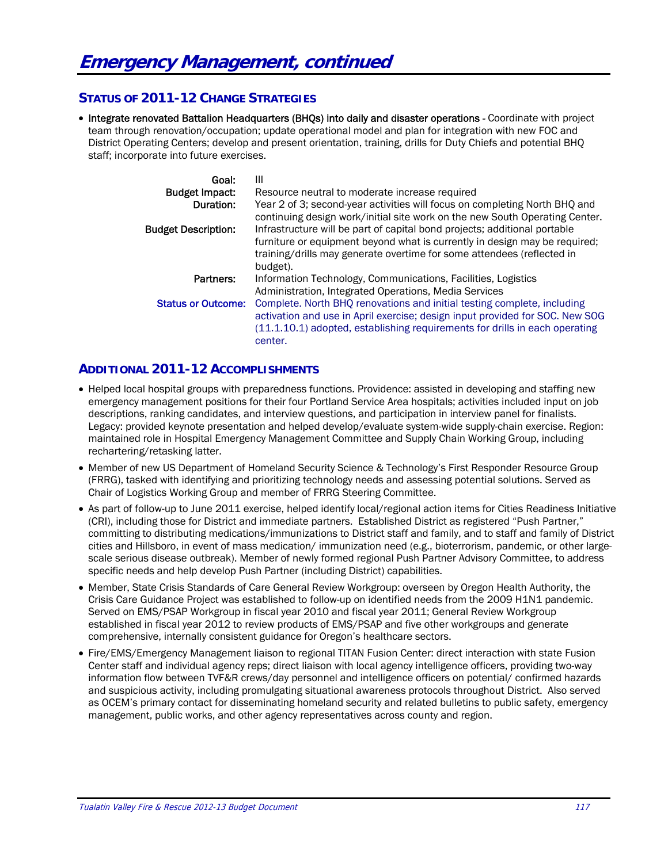## **STATUS OF 2011-12 CHANGE STRATEGIES**

• Integrate renovated Battalion Headquarters (BHQs) into daily and disaster operations - Coordinate with project team through renovation/occupation; update operational model and plan for integration with new FOC and District Operating Centers; develop and present orientation, training, drills for Duty Chiefs and potential BHQ staff; incorporate into future exercises.

| Goal:<br><b>Budget Impact:</b><br>Duration: | Ш<br>Resource neutral to moderate increase required<br>Year 2 of 3; second-year activities will focus on completing North BHQ and<br>continuing design work/initial site work on the new South Operating Center.                                  |
|---------------------------------------------|---------------------------------------------------------------------------------------------------------------------------------------------------------------------------------------------------------------------------------------------------|
| <b>Budget Description:</b>                  | Infrastructure will be part of capital bond projects; additional portable<br>furniture or equipment beyond what is currently in design may be required;<br>training/drills may generate overtime for some attendees (reflected in<br>budget).     |
| Partners:                                   | Information Technology, Communications, Facilities, Logistics<br>Administration, Integrated Operations, Media Services                                                                                                                            |
| <b>Status or Outcome:</b>                   | Complete. North BHQ renovations and initial testing complete, including<br>activation and use in April exercise; design input provided for SOC. New SOG<br>(11.1.10.1) adopted, establishing requirements for drills in each operating<br>center. |

# **ADDITIONAL 2011-12 ACCOMPLISHMENTS**

- Helped local hospital groups with preparedness functions. Providence: assisted in developing and staffing new emergency management positions for their four Portland Service Area hospitals; activities included input on job descriptions, ranking candidates, and interview questions, and participation in interview panel for finalists. Legacy: provided keynote presentation and helped develop/evaluate system-wide supply-chain exercise. Region: maintained role in Hospital Emergency Management Committee and Supply Chain Working Group, including rechartering/retasking latter.
- Member of new US Department of Homeland Security Science & Technology's First Responder Resource Group (FRRG), tasked with identifying and prioritizing technology needs and assessing potential solutions. Served as Chair of Logistics Working Group and member of FRRG Steering Committee.
- As part of follow-up to June 2011 exercise, helped identify local/regional action items for Cities Readiness Initiative (CRI), including those for District and immediate partners. Established District as registered "Push Partner," committing to distributing medications/immunizations to District staff and family, and to staff and family of District cities and Hillsboro, in event of mass medication/ immunization need (e.g., bioterrorism, pandemic, or other largescale serious disease outbreak). Member of newly formed regional Push Partner Advisory Committee, to address specific needs and help develop Push Partner (including District) capabilities.
- Member, State Crisis Standards of Care General Review Workgroup: overseen by Oregon Health Authority, the Crisis Care Guidance Project was established to follow-up on identified needs from the 2009 H1N1 pandemic. Served on EMS/PSAP Workgroup in fiscal year 2010 and fiscal year 2011; General Review Workgroup established in fiscal year 2012 to review products of EMS/PSAP and five other workgroups and generate comprehensive, internally consistent guidance for Oregon's healthcare sectors.
- Fire/EMS/Emergency Management liaison to regional TITAN Fusion Center: direct interaction with state Fusion Center staff and individual agency reps; direct liaison with local agency intelligence officers, providing two-way information flow between TVF&R crews/day personnel and intelligence officers on potential/ confirmed hazards and suspicious activity, including promulgating situational awareness protocols throughout District. Also served as OCEM's primary contact for disseminating homeland security and related bulletins to public safety, emergency management, public works, and other agency representatives across county and region.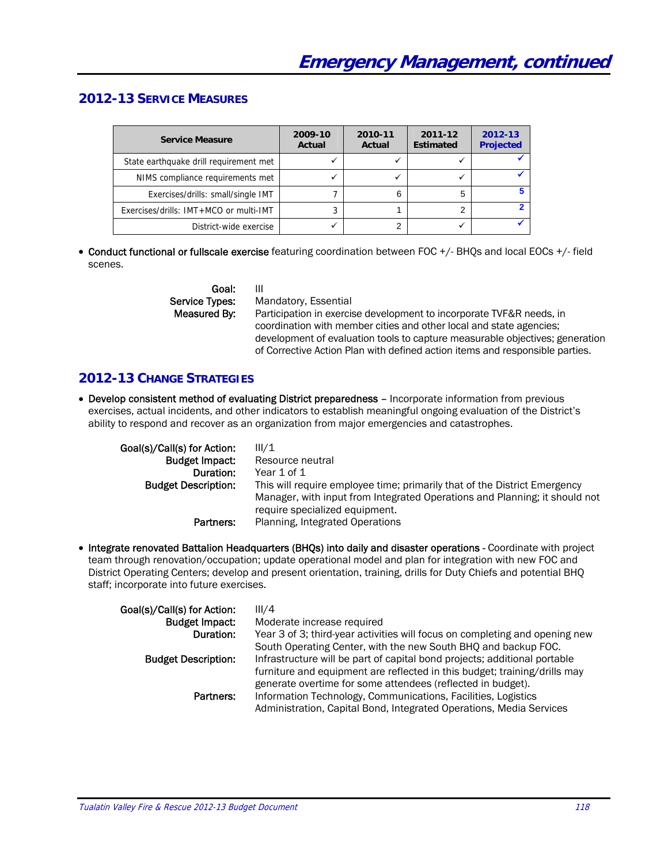# **2012-13 SERVICE MEASURES**

| <b>Service Measure</b>                 | 2009-10<br>Actual | 2010-11<br>Actual | 2011-12<br><b>Estimated</b> | 2012-13<br><b>Projected</b> |
|----------------------------------------|-------------------|-------------------|-----------------------------|-----------------------------|
| State earthquake drill requirement met |                   |                   |                             |                             |
| NIMS compliance requirements met       |                   |                   |                             |                             |
| Exercises/drills: small/single IMT     |                   |                   |                             |                             |
| Exercises/drills: IMT+MCO or multi-IMT |                   |                   |                             |                             |
| District-wide exercise                 |                   |                   |                             |                             |

 Conduct functional or fullscale exercise featuring coordination between FOC +/- BHQs and local EOCs +/- field scenes.

| Goal:          |
|----------------|
| Service Types: |
| Measured By:   |
|                |

Goal: III Mandatory, Essential

Participation in exercise development to incorporate TVF&R needs, in coordination with member cities and other local and state agencies; development of evaluation tools to capture measurable objectives; generation of Corrective Action Plan with defined action items and responsible parties.

# **2012-13 CHANGE STRATEGIES**

 Develop consistent method of evaluating District preparedness – Incorporate information from previous exercises, actual incidents, and other indicators to establish meaningful ongoing evaluation of the District's ability to respond and recover as an organization from major emergencies and catastrophes.

| Goal(s)/Call(s) for Action: | III/1                                                                      |
|-----------------------------|----------------------------------------------------------------------------|
| <b>Budget Impact:</b>       | Resource neutral                                                           |
| Duration:                   | Year 1 of 1                                                                |
| <b>Budget Description:</b>  | This will require employee time; primarily that of the District Emergency  |
|                             | Manager, with input from Integrated Operations and Planning; it should not |
|                             | require specialized equipment.                                             |
| Partners:                   | Planning, Integrated Operations                                            |

• Integrate renovated Battalion Headquarters (BHQs) into daily and disaster operations - Coordinate with project team through renovation/occupation; update operational model and plan for integration with new FOC and District Operating Centers; develop and present orientation, training, drills for Duty Chiefs and potential BHQ staff; incorporate into future exercises.

| Goal(s)/Call(s) for Action: | III/4                                                                       |
|-----------------------------|-----------------------------------------------------------------------------|
| <b>Budget Impact:</b>       | Moderate increase required                                                  |
| Duration:                   | Year 3 of 3; third-year activities will focus on completing and opening new |
|                             | South Operating Center, with the new South BHQ and backup FOC.              |
| <b>Budget Description:</b>  | Infrastructure will be part of capital bond projects; additional portable   |
|                             | furniture and equipment are reflected in this budget; training/drills may   |
|                             | generate overtime for some attendees (reflected in budget).                 |
| Partners:                   | Information Technology, Communications, Facilities, Logistics               |
|                             | Administration, Capital Bond, Integrated Operations, Media Services         |
|                             |                                                                             |